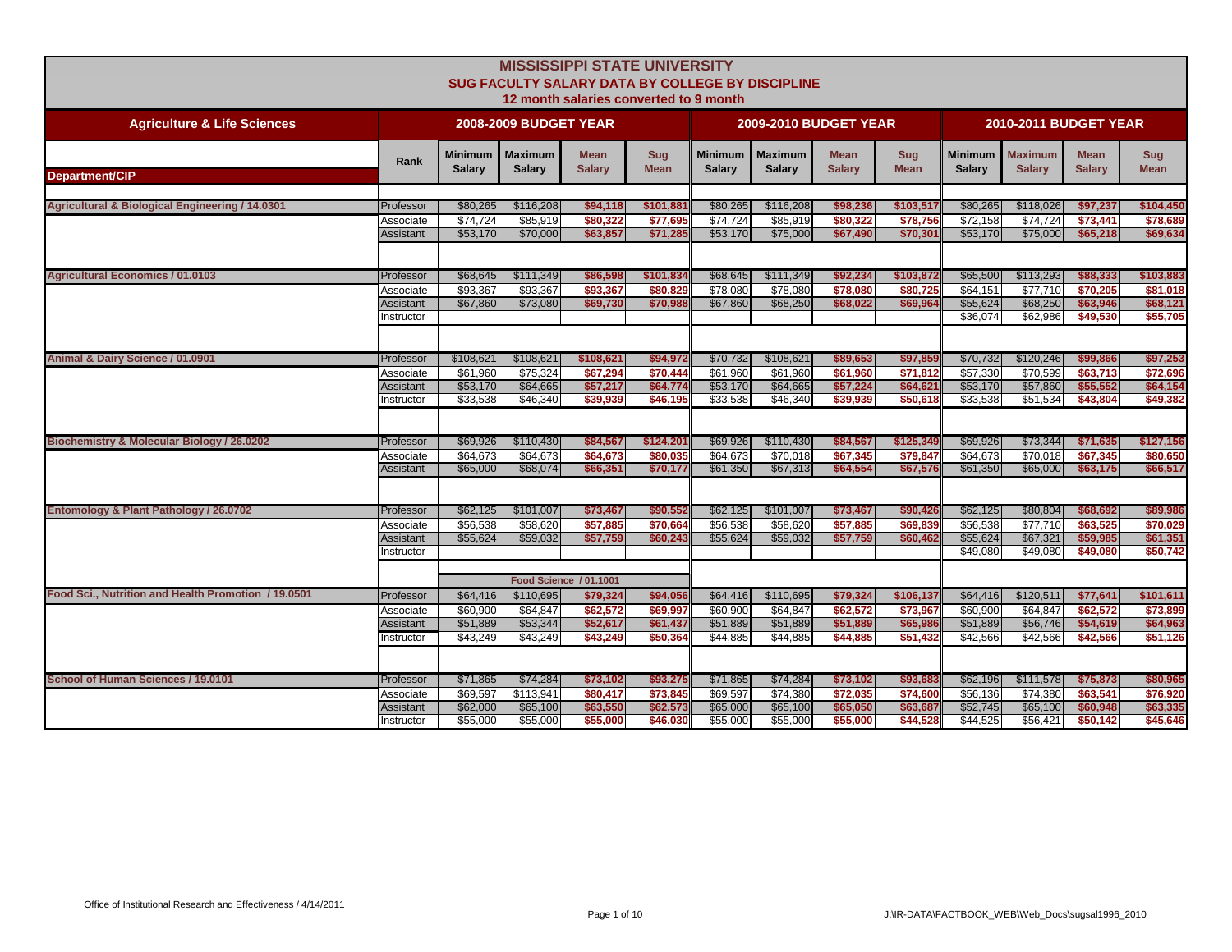|                                                            |                         |                          |                                 | <b>MISSISSIPPI STATE UNIVERSITY</b><br><b>SUG FACULTY SALARY DATA BY COLLEGE BY DISCIPLINE</b><br>12 month salaries converted to 9 month |                           |                                 |                                 |                              |                           |                                 |                                 |                              |                           |
|------------------------------------------------------------|-------------------------|--------------------------|---------------------------------|------------------------------------------------------------------------------------------------------------------------------------------|---------------------------|---------------------------------|---------------------------------|------------------------------|---------------------------|---------------------------------|---------------------------------|------------------------------|---------------------------|
| <b>Agriculture &amp; Life Sciences</b>                     |                         |                          | <b>2008-2009 BUDGET YEAR</b>    |                                                                                                                                          |                           |                                 | <b>2009-2010 BUDGET YEAR</b>    |                              |                           |                                 | 2010-2011 BUDGET YEAR           |                              |                           |
| <b>Department/CIP</b>                                      | Rank                    | Minimum<br><b>Salary</b> | <b>Maximum</b><br><b>Salary</b> | <b>Mean</b><br><b>Salary</b>                                                                                                             | <b>Sug</b><br><b>Mean</b> | <b>Minimum</b><br><b>Salary</b> | <b>Maximum</b><br><b>Salary</b> | <b>Mean</b><br><b>Salary</b> | <b>Sug</b><br><b>Mean</b> | <b>Minimum</b><br><b>Salary</b> | <b>Maximum</b><br><b>Salary</b> | <b>Mean</b><br><b>Salary</b> | <b>Sug</b><br><b>Mean</b> |
|                                                            |                         |                          |                                 |                                                                                                                                          |                           |                                 |                                 |                              |                           |                                 |                                 |                              |                           |
| <b>Agricultural &amp; Biological Engineering / 14.0301</b> | Professor               | \$80,265                 | \$116,208                       | \$94,118                                                                                                                                 | \$101,881                 | \$80,265                        | \$116,208                       | \$98,236                     | \$103,517                 | \$80,265                        | \$118,026                       | \$97,237                     | \$104,450                 |
|                                                            | Associate               | \$74.724                 | \$85.919                        | \$80,322                                                                                                                                 | \$77.695                  | \$74.724                        | \$85.919                        | \$80,322                     | \$78,756                  | \$72,158                        | \$74.724                        | \$73.441                     | \$78,689                  |
|                                                            | Assistant               | \$53,170                 | \$70,000                        | \$63,857                                                                                                                                 | \$71,285                  | \$53,170                        | \$75,000                        | \$67,490                     | \$70,301                  | \$53,170                        | \$75,000                        | \$65,218                     | \$69,634                  |
|                                                            |                         |                          |                                 |                                                                                                                                          |                           |                                 |                                 |                              |                           |                                 |                                 |                              |                           |
| <b>Agricultural Economics / 01.0103</b>                    | Professor               | \$68,645                 | \$111,349                       | \$86,598                                                                                                                                 | \$101,834                 | \$68,645                        | \$111,349                       | \$92,234                     | \$103,872                 | \$65,500                        | \$113,293                       | \$88,333                     | \$103,883                 |
|                                                            | Associate               | \$93,367                 | \$93,367                        | \$93,367                                                                                                                                 | \$80,829                  | \$78,080                        | \$78,080                        | \$78,080                     | \$80,725                  | \$64,151                        | \$77,710                        | \$70,205                     | \$81,018                  |
|                                                            | Assistant               | \$67,860                 | \$73,080                        | \$69,730                                                                                                                                 | \$70,988                  | \$67,860                        | \$68,250                        | \$68,022                     | \$69,964                  | \$55,624                        | \$68,250<br>\$62,986            | \$63,946<br>\$49,530         | \$68,121                  |
|                                                            | nstructor               |                          |                                 |                                                                                                                                          |                           |                                 |                                 |                              |                           | \$36,074                        |                                 |                              | \$55,705                  |
|                                                            |                         |                          |                                 |                                                                                                                                          |                           |                                 |                                 |                              |                           |                                 |                                 |                              |                           |
| Animal & Dairy Science / 01.0901                           | Professor               | \$108,621                | \$108,621                       | \$108,621                                                                                                                                | \$94,972                  | \$70,732                        | \$108,621                       | \$89,653                     | \$97,859                  | \$70,732                        | \$120,246                       | \$99,866                     | \$97,253                  |
|                                                            | Associate               | \$61.960                 | \$75,324                        | \$67,294                                                                                                                                 | \$70,444                  | \$61,960                        | \$61.960                        | \$61.960                     | \$71,812                  | \$57,330                        | \$70,599                        | \$63,713                     | \$72,696                  |
|                                                            | Assistant<br>Instructor | \$53,170<br>\$33,538     | \$64,665<br>\$46,340            | \$57,217<br>\$39,939                                                                                                                     | \$64,774<br>\$46,195      | \$53,170<br>\$33,538            | \$64,665<br>\$46,340            | \$57,224<br>\$39,939         | \$64,621<br>\$50,618      | \$53,170<br>\$33,538            | \$57,860<br>\$51,534            | \$55,552<br>\$43,804         | \$64,154<br>\$49,382      |
|                                                            |                         |                          |                                 |                                                                                                                                          |                           |                                 |                                 |                              |                           |                                 |                                 |                              |                           |
|                                                            |                         |                          |                                 |                                                                                                                                          |                           |                                 |                                 |                              |                           |                                 |                                 |                              |                           |
| Biochemistry & Molecular Biology / 26.0202                 | Professor               | \$69,926                 | \$110,430                       | \$84,567                                                                                                                                 | \$124,201<br>\$80,035     | \$69,926                        | \$110,430<br>\$70.018           | \$84,567                     | \$125,349                 | \$69,926                        | \$73,344<br>\$70,018            | \$71,635<br>\$67,345         | \$127,156                 |
|                                                            | Associate<br>Assistant  | \$64,673<br>\$65,000     | \$64,673<br>\$68,074            | \$64,673<br>\$66,351                                                                                                                     | \$70,177                  | \$64,673<br>\$61,350            | \$67,313                        | \$67,345<br>\$64,554         | \$79,847<br>\$67,576      | \$64,673<br>\$61,350            | \$65,000                        | \$63,175                     | \$80,650<br>\$66,517      |
|                                                            |                         |                          |                                 |                                                                                                                                          |                           |                                 |                                 |                              |                           |                                 |                                 |                              |                           |
| Entomology & Plant Pathology / 26.0702                     | Professor               | \$62,125                 | \$101,007                       | \$73,467                                                                                                                                 | \$90,552                  | \$62,125                        | \$101,007                       | \$73,467                     | \$90,426                  | \$62,125                        | \$80,804                        | \$68,692                     | \$89,986                  |
|                                                            | Associate               | \$56,538                 | \$58,620                        | \$57,885                                                                                                                                 | \$70,664                  | \$56,538                        | \$58,620                        | \$57,885                     | \$69,839                  | \$56,538                        | \$77,710                        | \$63,525                     | \$70,029                  |
|                                                            | Assistant               | \$55.624                 | \$59.032                        | \$57,759                                                                                                                                 | \$60,243                  | \$55,624                        | \$59,032                        | \$57,759                     | \$60,462                  | \$55,624                        | \$67,321                        | \$59,985                     | \$61,351                  |
|                                                            | nstructor               |                          |                                 |                                                                                                                                          |                           |                                 |                                 |                              |                           | \$49,080                        | \$49,080                        | \$49,080                     | \$50,742                  |
|                                                            |                         |                          |                                 | <b>Food Science / 01.1001</b>                                                                                                            |                           |                                 |                                 |                              |                           |                                 |                                 |                              |                           |
| Food Sci., Nutrition and Health Promotion / 19.0501        | Professor               | \$64,416                 | \$110,695                       | \$79,324                                                                                                                                 | \$94,056                  | \$64,416                        | \$110,695                       | \$79,324                     | \$106,137                 | \$64,416                        | \$120,511                       | \$77,641                     | \$101,611                 |
|                                                            | Associate               | \$60,900                 | \$64,847                        | \$62,572                                                                                                                                 | \$69,997                  | \$60,900                        | \$64,847                        | \$62,572                     | \$73,967                  | \$60,900                        | \$64,847                        | \$62,572                     | \$73,899                  |
|                                                            | Assistant               | \$51,889                 | \$53,344                        | \$52,617                                                                                                                                 | \$61,437                  | \$51,889                        | \$51,889                        | \$51,889                     | \$65,986                  | \$51,889                        | \$56,746                        | \$54,619                     | \$64,963                  |
|                                                            | Instructor              | \$43,249                 | \$43,249                        | \$43,249                                                                                                                                 | \$50,364                  | \$44,885                        | \$44,885                        | \$44,885                     | \$51,432                  | \$42,566                        | \$42,566                        | \$42,566                     | \$51,126                  |
|                                                            |                         |                          |                                 |                                                                                                                                          |                           |                                 |                                 |                              |                           |                                 |                                 |                              |                           |
| School of Human Sciences / 19.0101                         | Professor               | \$71,865                 | \$74,284                        | \$73,102                                                                                                                                 | \$93,275                  | \$71,865                        | \$74,284                        | \$73,102                     | \$93,683                  | \$62,196                        | \$111,578                       | \$75,873                     | \$80,965                  |
|                                                            | Associate               | \$69,597                 | \$113,941                       | \$80,417                                                                                                                                 | \$73,845                  | \$69,597                        | \$74,380                        | \$72,035                     | \$74,600                  | \$56,136                        | \$74,380                        | \$63,541                     | \$76,920                  |
|                                                            | Assistant               | \$62,000                 | \$65,100                        | \$63,550                                                                                                                                 | \$62,573                  | \$65,000                        | \$65,100                        | \$65,050                     | \$63,687                  | \$52,745                        | \$65,100                        | \$60,948                     | \$63,335                  |
|                                                            | Instructor              | \$55,000                 | \$55,000                        | \$55,000                                                                                                                                 | \$46,030                  | \$55,000                        | \$55,000                        | \$55,000                     | \$44,528                  | \$44,525                        | \$56,421                        | \$50,142                     | \$45,646                  |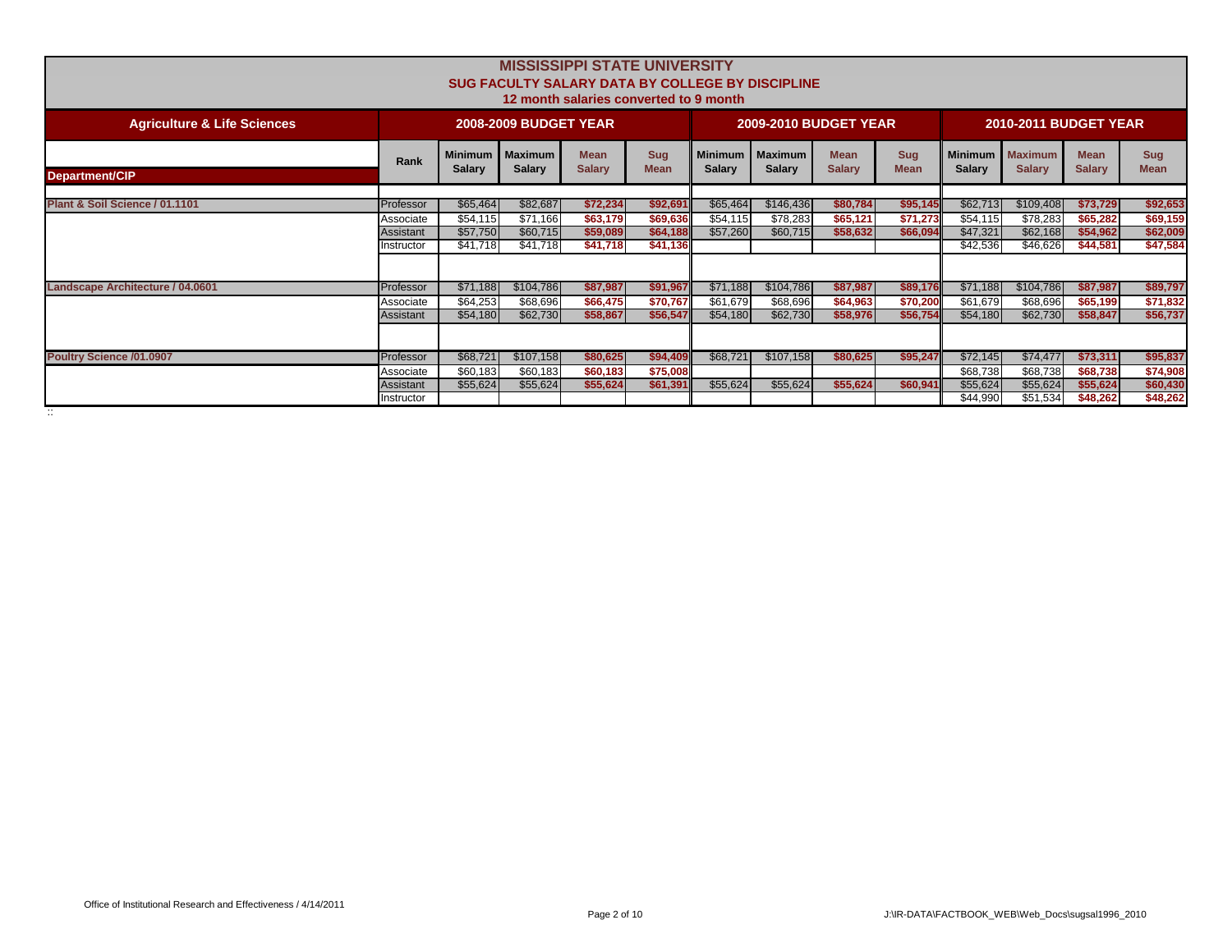| <b>MISSISSIPPI STATE UNIVERSITY</b><br><b>SUG FACULTY SALARY DATA BY COLLEGE BY DISCIPLINE</b><br>12 month salaries converted to 9 month |            |                          |                                   |                              |                           |                                 |                                 |                              |                           |               |                                    |                              |                           |
|------------------------------------------------------------------------------------------------------------------------------------------|------------|--------------------------|-----------------------------------|------------------------------|---------------------------|---------------------------------|---------------------------------|------------------------------|---------------------------|---------------|------------------------------------|------------------------------|---------------------------|
| <b>Agriculture &amp; Life Sciences</b>                                                                                                   |            |                          | <b>2008-2009 BUDGET YEAR</b>      |                              |                           |                                 | <b>2009-2010 BUDGET YEAR</b>    |                              |                           |               | <b>2010-2011 BUDGET YEAR</b>       |                              |                           |
| <b>Department/CIP</b>                                                                                                                    | Rank       | Minimum<br><b>Salary</b> | <b>I</b> Maximum<br><b>Salary</b> | <b>Mean</b><br><b>Salary</b> | <b>Sug</b><br><b>Mean</b> | <b>Minimum</b><br><b>Salary</b> | <b>Maximum</b><br><b>Salary</b> | <b>Mean</b><br><b>Salary</b> | <b>Sug</b><br><b>Mean</b> | <b>Salarv</b> | Minimum   Maximum<br><b>Salarv</b> | <b>Mean</b><br><b>Salary</b> | <b>Sug</b><br><b>Mean</b> |
|                                                                                                                                          |            |                          |                                   |                              |                           |                                 |                                 |                              |                           |               |                                    |                              |                           |
| Plant & Soil Science / 01.1101                                                                                                           | Professor  | \$65,464                 | \$82,687                          | \$72,234                     | \$92,691                  | \$65,464                        | \$146,436                       | \$80,784                     | \$95,145                  | \$62,713      | \$109,408                          | \$73,729                     | \$92,653                  |
|                                                                                                                                          | Associate  | \$54,115                 | \$71,166                          | \$63,179                     | \$69,636                  | \$54,115                        | \$78,283                        | \$65,121                     | \$71,273                  | \$54,115      | \$78,283                           | \$65,282                     | \$69,159                  |
|                                                                                                                                          | Assistant  | \$57,750                 | \$60,715                          | \$59,089                     | \$64,188                  | \$57,260                        | \$60,715                        | \$58,632                     | \$66,094                  | \$47,321      | \$62,168                           | \$54,962                     | \$62,009                  |
|                                                                                                                                          | Instructor | \$41,718                 | \$41,718                          | \$41,718                     | \$41,136                  |                                 |                                 |                              |                           | \$42,536      | \$46,626                           | \$44,581                     | \$47,584                  |
|                                                                                                                                          |            |                          |                                   |                              |                           |                                 |                                 |                              |                           |               |                                    |                              |                           |
| Landscape Architecture / 04.0601                                                                                                         | Professor  | \$71,188                 | \$104,786                         | \$87,987                     | \$91,967                  | \$71,188                        | \$104,786                       | \$87,987                     | \$89,176                  | \$71,188      | \$104,786                          | \$87,987                     | \$89,797                  |
|                                                                                                                                          | Associate  | \$64,253                 | \$68,696                          | \$66,475                     | \$70,767                  | \$61,679                        | \$68,696                        | \$64,963                     | \$70,200                  | \$61,679      | \$68,696                           | \$65,199                     | \$71,832                  |
|                                                                                                                                          | Assistant  | \$54,180                 | \$62,730                          | \$58,867                     | \$56,547                  | \$54,180                        | \$62,730                        | \$58,976                     | \$56,754                  | \$54,180      | \$62,730                           | \$58,847                     | \$56,737                  |
|                                                                                                                                          |            |                          |                                   |                              |                           |                                 |                                 |                              |                           |               |                                    |                              |                           |
| <b>Poultry Science /01.0907</b>                                                                                                          | Professor  | \$68,721                 | \$107,158                         | \$80,625                     | \$94,409                  | \$68,721                        | \$107,158                       | \$80,625                     | \$95,247                  | \$72,145      | \$74,477                           | \$73,311                     | \$95,837                  |
|                                                                                                                                          | Associate  | \$60,183                 | \$60,183                          | \$60,183                     | \$75,008                  |                                 |                                 |                              |                           | \$68,738      | \$68,738                           | \$68,738                     | \$74,908                  |
|                                                                                                                                          | Assistant  | \$55,624                 | \$55,624                          | \$55,624                     | \$61,391                  | \$55,624                        | \$55,624                        | \$55,624                     | \$60,941                  | \$55,624      | \$55,624                           | \$55,624                     | \$60,430                  |
|                                                                                                                                          | Instructor |                          |                                   |                              |                           |                                 |                                 |                              |                           | \$44,990      | \$51,534                           | \$48,262                     | \$48,262                  |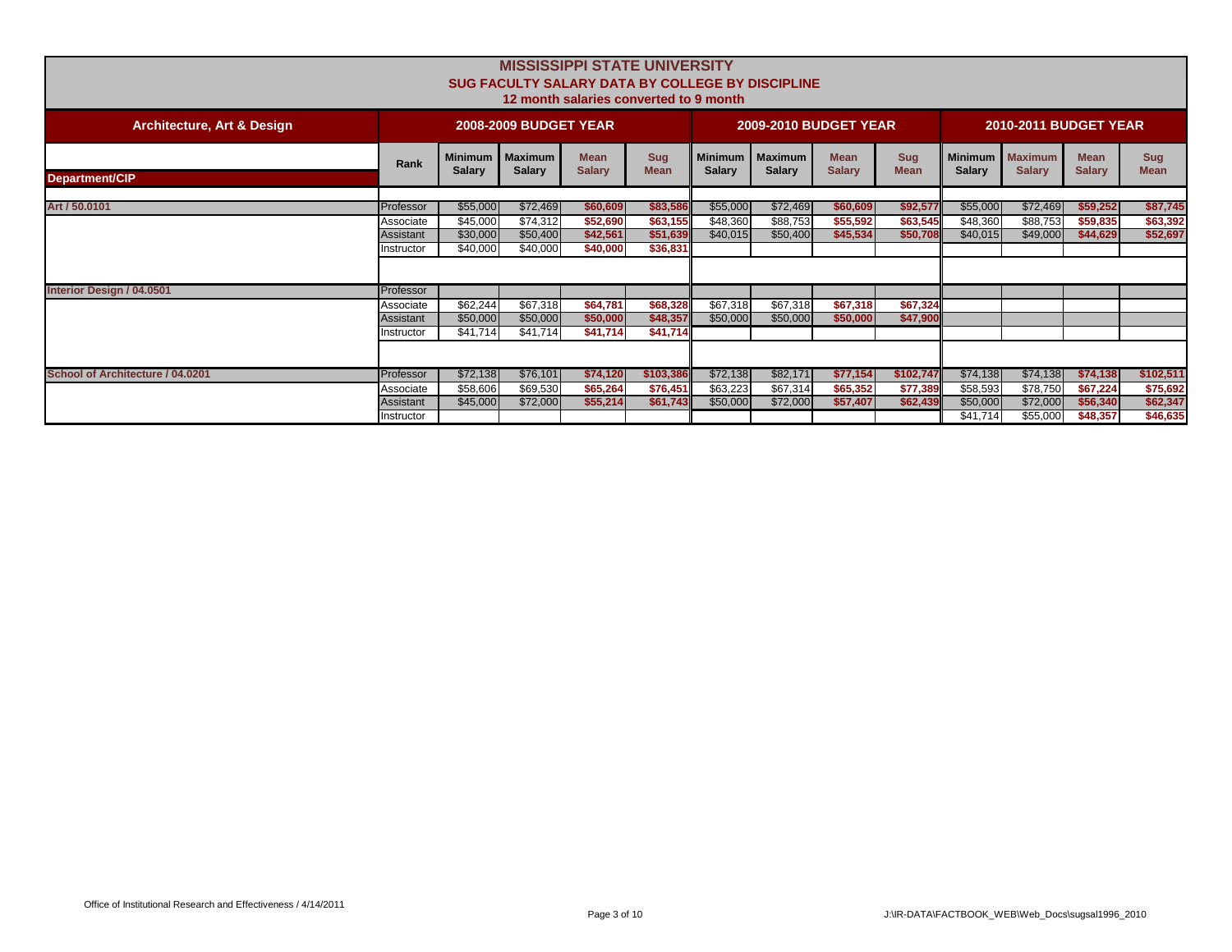|                                       | <b>MISSISSIPPI STATE UNIVERSITY</b><br><b>SUG FACULTY SALARY DATA BY COLLEGE BY DISCIPLINE</b><br>12 month salaries converted to 9 month |               |                                    |                              |                           |                                 |                                 |                              |                           |                                 |                                 |                              |                           |
|---------------------------------------|------------------------------------------------------------------------------------------------------------------------------------------|---------------|------------------------------------|------------------------------|---------------------------|---------------------------------|---------------------------------|------------------------------|---------------------------|---------------------------------|---------------------------------|------------------------------|---------------------------|
| <b>Architecture, Art &amp; Design</b> |                                                                                                                                          |               | <b>2008-2009 BUDGET YEAR</b>       |                              |                           |                                 | <b>2009-2010 BUDGET YEAR</b>    |                              |                           |                                 | <b>2010-2011 BUDGET YEAR</b>    |                              |                           |
| <b>Department/CIP</b>                 | Rank                                                                                                                                     | <b>Salarv</b> | Minimum   Maximum<br><b>Salary</b> | <b>Mean</b><br><b>Salarv</b> | <b>Sug</b><br><b>Mean</b> | <b>Minimum</b><br><b>Salarv</b> | <b>Maximum</b><br><b>Salary</b> | <b>Mean</b><br><b>Salary</b> | <b>Sug</b><br><b>Mean</b> | <b>Minimum</b><br><b>Salarv</b> | <b>Maximum</b><br><b>Salarv</b> | <b>Mean</b><br><b>Salary</b> | <b>Sug</b><br><b>Mean</b> |
|                                       |                                                                                                                                          |               |                                    |                              |                           |                                 |                                 |                              |                           |                                 |                                 |                              |                           |
| Art / 50.0101                         | Professor                                                                                                                                | \$55,000      | \$72,469                           | \$60,609                     | \$83,586                  | \$55,000                        | \$72,469                        | \$60,609                     | \$92,577                  | \$55,000                        | \$72,469                        | \$59,252                     | \$87,745                  |
|                                       | Associate                                                                                                                                | \$45,000      | \$74,312                           | \$52,690                     | \$63,155                  | \$48,360                        | \$88,753                        | \$55,592                     | \$63,545                  | \$48,360                        | \$88,753                        | \$59,835                     | \$63,392                  |
|                                       | Assistant                                                                                                                                | \$30,000      | \$50,400                           | \$42,561                     | \$51,639                  | \$40,015                        | \$50,400                        | \$45,534                     | \$50,708                  | \$40,015                        | \$49,000                        | \$44,629                     | \$52,697                  |
|                                       | Instructor                                                                                                                               | \$40,000      | \$40,000                           | \$40,000                     | \$36,831                  |                                 |                                 |                              |                           |                                 |                                 |                              |                           |
|                                       |                                                                                                                                          |               |                                    |                              |                           |                                 |                                 |                              |                           |                                 |                                 |                              |                           |
| Interior Design / 04.0501             | Professor                                                                                                                                |               |                                    |                              |                           |                                 |                                 |                              |                           |                                 |                                 |                              |                           |
|                                       | Associate                                                                                                                                | \$62,244      | \$67,318                           | \$64,781                     | \$68,328                  | \$67,318                        | \$67,318                        | \$67,318                     | \$67,324                  |                                 |                                 |                              |                           |
|                                       | Assistant                                                                                                                                | \$50,000      | \$50,000                           | \$50,000                     | \$48,357                  | \$50,000                        | \$50,000                        | \$50,000                     | \$47,900                  |                                 |                                 |                              |                           |
|                                       | Instructor                                                                                                                               | \$41,714      | \$41.714                           | \$41,714                     | \$41,714                  |                                 |                                 |                              |                           |                                 |                                 |                              |                           |
|                                       |                                                                                                                                          |               |                                    |                              |                           |                                 |                                 |                              |                           |                                 |                                 |                              |                           |
| School of Architecture / 04.0201      | Professor                                                                                                                                | \$72,138      | \$76,101                           | \$74,120                     | \$103,386                 | \$72,138                        | \$82,171                        | \$77,154                     | \$102,747                 | \$74,138                        | \$74,138                        | \$74,138                     | \$102,511                 |
|                                       | Associate                                                                                                                                | \$58,606      | \$69,530                           | \$65,264                     | \$76,451                  | \$63,223                        | \$67,314                        | \$65,352                     | \$77,389                  | \$58,593                        | \$78,750                        | \$67,224                     | \$75,692                  |
|                                       | Assistant                                                                                                                                | \$45,000      | \$72,000                           | \$55,214                     | \$61,743                  | \$50,000                        | \$72,000                        | \$57,407                     | \$62,439                  | \$50,000                        | \$72,000                        | \$56,340                     | \$62,347                  |
|                                       | Instructor                                                                                                                               |               |                                    |                              |                           |                                 |                                 |                              |                           | \$41.714                        | \$55,000                        | \$48,357                     | \$46,635                  |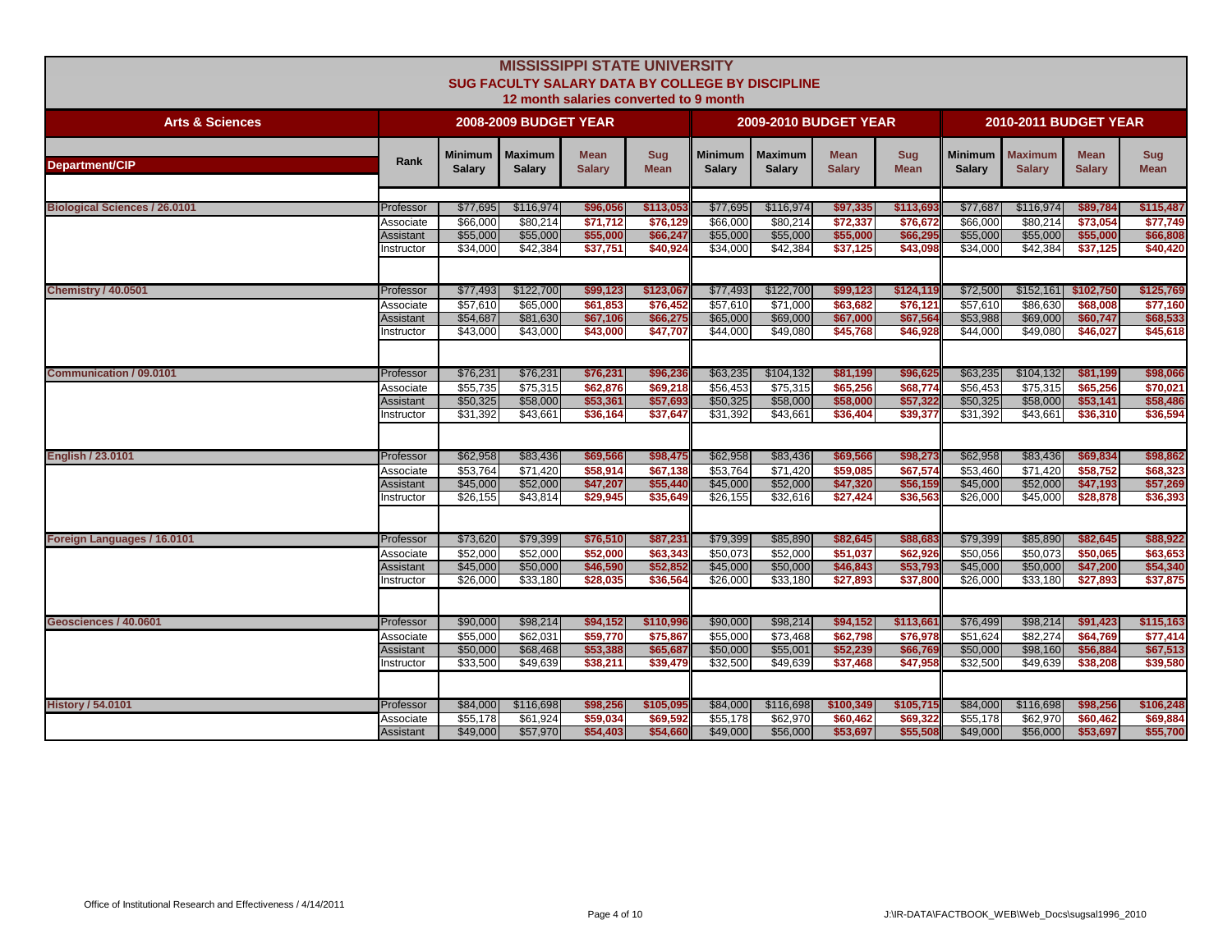|                                      |                                |                            |                                 | <b>MISSISSIPPI STATE UNIVERSITY</b><br><b>SUG FACULTY SALARY DATA BY COLLEGE BY DISCIPLINE</b><br>12 month salaries converted to 9 month |                           |                                 |                                 |                              |                      |                                 |                                 |                              |                      |
|--------------------------------------|--------------------------------|----------------------------|---------------------------------|------------------------------------------------------------------------------------------------------------------------------------------|---------------------------|---------------------------------|---------------------------------|------------------------------|----------------------|---------------------------------|---------------------------------|------------------------------|----------------------|
| <b>Arts &amp; Sciences</b>           |                                |                            | <b>2008-2009 BUDGET YEAR</b>    |                                                                                                                                          |                           |                                 | <b>2009-2010 BUDGET YEAR</b>    |                              |                      |                                 | <b>2010-2011 BUDGET YEAR</b>    |                              |                      |
| Department/CIP                       | Rank                           | Minimum  <br><b>Salary</b> | <b>Maximum</b><br><b>Salary</b> | <b>Mean</b><br><b>Salary</b>                                                                                                             | <b>Sug</b><br><b>Mean</b> | <b>Minimum</b><br><b>Salary</b> | <b>Maximum</b><br><b>Salary</b> | <b>Mean</b><br><b>Salary</b> | Sug<br><b>Mean</b>   | <b>Minimum</b><br><b>Salary</b> | <b>Maximum</b><br><b>Salary</b> | <b>Mean</b><br><b>Salary</b> | Sug<br><b>Mean</b>   |
| <b>Biological Sciences / 26.0101</b> | Professor                      | \$77,695                   | \$116,974                       | \$96,056                                                                                                                                 | \$113,053                 | \$77,695                        | \$116,974                       | \$97,335                     | \$113,69             | \$77,687                        | \$116,974                       | \$89,784                     | \$115,487            |
|                                      | Associate                      | \$66,000                   | \$80,214                        | \$71,712                                                                                                                                 | \$76,129                  | \$66,000                        | \$80,214                        | \$72,337                     | \$76,672             | \$66,000                        | \$80,214                        | \$73,054                     | \$77,749             |
|                                      | Assistant<br>Instructor        | \$55,000<br>\$34,000       | \$55,000<br>\$42,384            | \$55,000<br>\$37,751                                                                                                                     | \$66,247<br>\$40.924      | \$55,000<br>\$34,000            | \$55,000<br>\$42,384            | \$55,000<br>\$37,125         | \$66,295<br>\$43,098 | \$55,000<br>\$34,000            | \$55,000<br>\$42,384            | \$55,000<br>\$37,125         | \$66,808<br>\$40,420 |
|                                      |                                |                            |                                 |                                                                                                                                          |                           |                                 |                                 |                              |                      |                                 |                                 |                              |                      |
| <b>Chemistry / 40.0501</b>           | Professor                      | \$77,493                   | \$122,700                       | \$99,123                                                                                                                                 | \$123,067                 | \$77,493                        | \$122,700                       | \$99,123                     | \$124,119            | \$72,500                        | \$152,161                       | \$102,750                    | \$125,769            |
|                                      | Associate                      | \$57,610                   | \$65,000                        | \$61.853                                                                                                                                 | \$76,452                  | \$57,610                        | \$71.000                        | \$63,682                     | \$76,121             | \$57,610                        | \$86,630                        | \$68,008                     | \$77,160             |
|                                      | <b>Assistant</b><br>Instructor | \$54,687<br>\$43,000       | \$81,630<br>\$43,000            | \$67,106<br>\$43,000                                                                                                                     | \$66,275<br>\$47,707      | \$65,000<br>\$44,000            | \$69,000<br>\$49,080            | \$67,000<br>\$45,768         | \$67,564<br>\$46,928 | \$53,988<br>\$44,000            | \$69,000<br>\$49,080            | \$60,747<br>\$46,027         | \$68,533<br>\$45,618 |
|                                      |                                |                            |                                 |                                                                                                                                          |                           |                                 |                                 |                              |                      |                                 |                                 |                              |                      |
| <b>Communication / 09,0101</b>       | Professor                      | \$76,231                   | \$76,231                        | \$76,231                                                                                                                                 | \$96,23                   | \$63,235                        | \$104,132                       | \$81,199                     | \$96,62              | \$63,235                        | \$104,132                       | \$81,199                     | \$98,066             |
|                                      | Associate                      | \$55,735                   | \$75,315                        | \$62,876                                                                                                                                 | \$69,218                  | \$56.453                        | \$75,315                        | \$65,256                     | \$68,774             | \$56,453                        | \$75,315                        | \$65,256                     | \$70,021             |
|                                      | Assistant                      | \$50,325                   | \$58,000                        | \$53,361                                                                                                                                 | \$57,693                  | \$50,325                        | \$58,000                        | \$58,000                     | \$57,322             | \$50,325                        | \$58,000                        | \$53,141                     | \$58,486             |
|                                      | Instructor                     | \$31,392                   | \$43,661                        | \$36,164                                                                                                                                 | \$37,647                  | \$31,392                        | \$43,661                        | \$36,404                     | \$39,377             | \$31,392                        | \$43,661                        | \$36,310                     | \$36,594             |
| <b>English / 23.0101</b>             | Professor                      | \$62,958                   | \$83,436                        | \$69,566                                                                                                                                 | \$98,475                  | \$62,958                        | \$83,436                        | \$69,566                     | \$98,273             | \$62,958                        | \$83,436                        | \$69,834                     | \$98,862             |
|                                      | Associate                      | \$53,764                   | \$71,420                        | \$58,914                                                                                                                                 | \$67,138                  | \$53,764                        | \$71,420                        | \$59,085                     | \$67,574             | \$53,460                        | \$71,420                        | \$58,752                     | \$68,323             |
|                                      | Assistant                      | \$45,000                   | \$52,000                        | \$47,207<br>\$29.945                                                                                                                     | \$55,440                  | \$45,000                        | \$52,000                        | \$47,320                     | \$56,159             | \$45,000                        | \$52,000                        | \$47,193                     | \$57,269             |
|                                      | Instructor                     | $\overline{$}26,155$       | \$43,814                        |                                                                                                                                          | \$35,649                  | \$26,155                        | \$32,616                        | \$27,424                     | \$36,563             | \$26,000                        | \$45,000                        | \$28,878                     | \$36,393             |
| Foreign Languages / 16.0101          | Professor                      | \$73,620                   | \$79,399                        | \$76,510                                                                                                                                 | \$87,231                  | \$79,399                        | \$85,890                        | \$82,645                     | \$88,683             | \$79,399                        | \$85,890                        | \$82,645                     | \$88,922             |
|                                      | Associate                      | \$52,000                   | \$52,000                        | \$52,000                                                                                                                                 | \$63,343                  | \$50.073                        | \$52,000                        | \$51.037                     | \$62,926             | \$50,056                        | \$50.073                        | \$50.065                     | \$63,653             |
|                                      | Assistant                      | \$45,000                   | \$50,000                        | \$46,590                                                                                                                                 | \$52,852                  | \$45,000                        | \$50,000                        | \$46,843                     | \$53,793             | \$45,000                        | \$50,000                        | \$47.200                     | \$54,340             |
|                                      | nstructor                      | \$26,000                   | \$33,180                        | \$28,035                                                                                                                                 | \$36,564                  | \$26,000                        | \$33,180                        | \$27,893                     | \$37,800             | \$26,000                        | \$33,180                        | \$27,893                     | \$37,875             |
|                                      |                                |                            |                                 |                                                                                                                                          |                           |                                 |                                 |                              |                      |                                 |                                 |                              |                      |
| Geosciences / 40.0601                | Professor                      | \$90,000                   | \$98,214                        | \$94,152                                                                                                                                 | \$110,996                 | \$90,000                        | \$98,214                        | \$94,152                     | \$113,661            | \$76,499                        | \$98,214                        | \$91,423                     | \$115,163            |
|                                      | Associate                      | \$55,000<br>\$50,000       | \$62,031                        | \$59,770                                                                                                                                 | \$75,867                  | \$55,000                        | \$73,468                        | \$62,798                     | \$76,978             | \$51,624                        | \$82,274                        | \$64,769<br>\$56,884         | \$77,414             |
|                                      | Assistant<br>Instructor        | \$33,500                   | \$68,468<br>\$49,639            | \$53,388<br>\$38,211                                                                                                                     | \$65,687<br>\$39,479      | \$50,000<br>\$32,500            | \$55,001<br>\$49,639            | \$52,239<br>\$37,468         | \$66,769<br>\$47,958 | \$50,000<br>\$32,500            | \$98,160<br>\$49,639            | \$38,208                     | \$67,513<br>\$39,580 |
|                                      |                                |                            |                                 |                                                                                                                                          |                           |                                 |                                 |                              |                      |                                 |                                 |                              |                      |
| <b>History / 54.0101</b>             | Professor                      | \$84,000                   | \$116,698                       | \$98,256                                                                                                                                 | \$105,095                 | \$84,000                        | \$116,698                       | \$100,349                    | \$105,715            | \$84,000                        | \$116,698                       | \$98,256                     | \$106,248            |
|                                      | Associate                      | \$55,178                   | \$61,924                        | \$59,034                                                                                                                                 | \$69,592                  | \$55,178                        | \$62,970                        | \$60,462                     | \$69,322             | \$55,178                        | \$62,970                        | \$60,462                     | \$69,884             |
|                                      | Assistant                      | \$49,000                   | \$57,970                        | \$54,403                                                                                                                                 | \$54,660                  | \$49,000                        | \$56,000                        | \$53,697                     | \$55,508             | \$49,000                        | \$56,000                        | \$53,697                     | \$55,700             |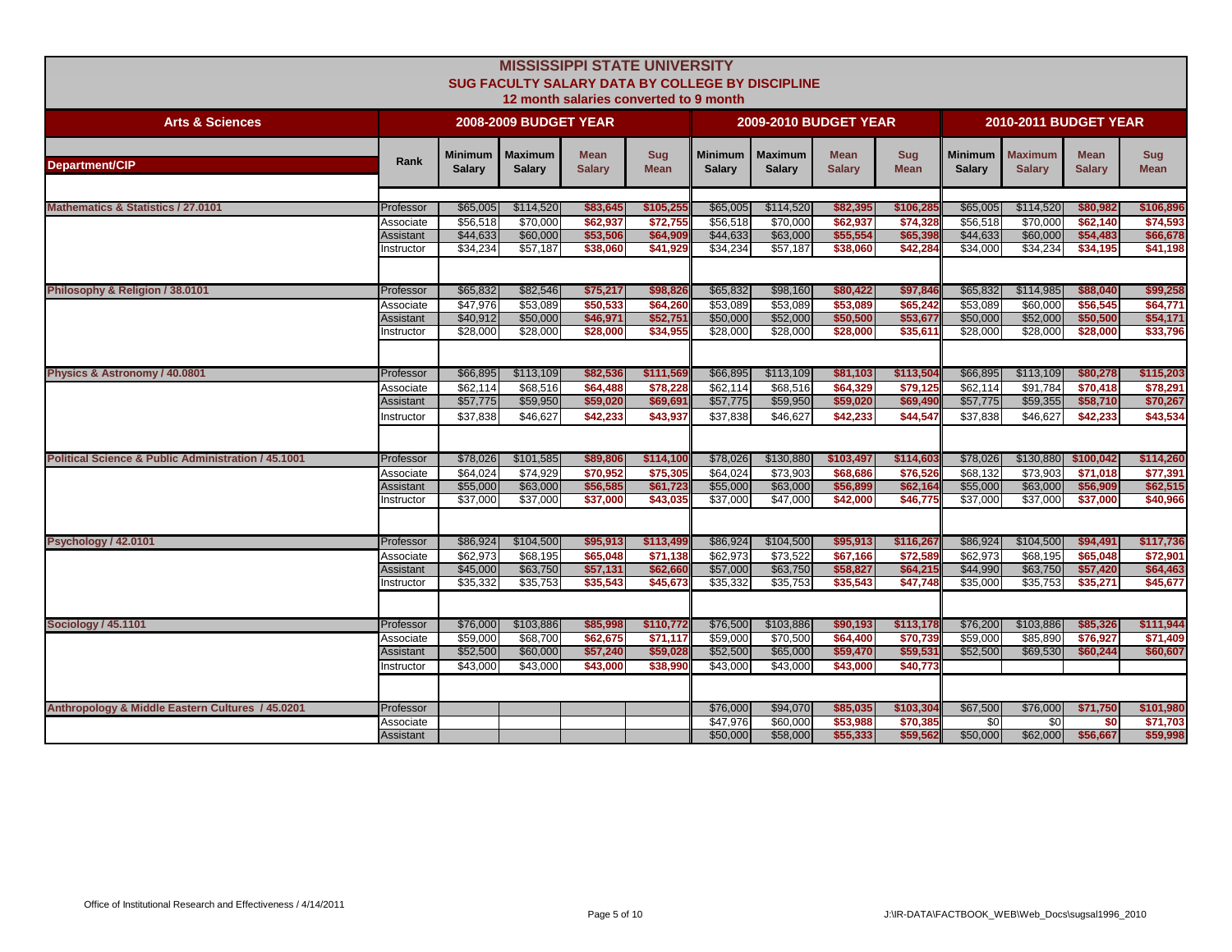|                                                                |                                                   |                                              |                                               | <b>MISSISSIPPI STATE UNIVERSITY</b><br><b>SUG FACULTY SALARY DATA BY COLLEGE BY DISCIPLINE</b><br>12 month salaries converted to 9 month |                                               |                                              |                                               |                                               |                                               |                                              |                                               |                                               |                                               |
|----------------------------------------------------------------|---------------------------------------------------|----------------------------------------------|-----------------------------------------------|------------------------------------------------------------------------------------------------------------------------------------------|-----------------------------------------------|----------------------------------------------|-----------------------------------------------|-----------------------------------------------|-----------------------------------------------|----------------------------------------------|-----------------------------------------------|-----------------------------------------------|-----------------------------------------------|
| <b>Arts &amp; Sciences</b>                                     |                                                   |                                              | <b>2008-2009 BUDGET YEAR</b>                  |                                                                                                                                          |                                               |                                              | <b>2009-2010 BUDGET YEAR</b>                  |                                               |                                               |                                              | <b>2010-2011 BUDGET YEAR</b>                  |                                               |                                               |
| <b>Department/CIP</b>                                          | Rank                                              | Minimum I<br><b>Salary</b>                   | <b>Maximum</b><br><b>Salary</b>               | <b>Mean</b><br><b>Salary</b>                                                                                                             | <b>Sug</b><br><b>Mean</b>                     | <b>Minimum</b><br><b>Salary</b>              | <b>Maximum</b><br><b>Salary</b>               | <b>Mean</b><br><b>Salary</b>                  | Sug<br><b>Mean</b>                            | <b>Minimum</b><br><b>Salary</b>              | <b>Maximum</b><br><b>Salary</b>               | <b>Mean</b><br><b>Salary</b>                  | Sug<br><b>Mean</b>                            |
| <b>Mathematics &amp; Statistics / 27.0101</b>                  | Professor                                         | \$65,005                                     | \$114,520                                     | \$83,645                                                                                                                                 | \$105,25                                      | \$65,005                                     | \$114,520                                     | \$82,395                                      | \$106,28                                      | \$65,005                                     | \$114,520                                     | \$80,982                                      | \$106,896                                     |
|                                                                | Associate<br>Assistant<br>Instructor              | \$56,518<br>\$44,633<br>\$34,234             | \$70,000<br>\$60,000<br>\$57,187              | \$62,937<br>\$53,506<br>\$38,060                                                                                                         | \$72,755<br>\$64,90<br>\$41,929               | \$56,518<br>\$44,633<br>\$34,234             | \$70,000<br>\$63,000<br>\$57,187              | \$62,937<br>\$55,554<br>\$38,060              | \$74,328<br>\$65,398<br>\$42,284              | \$56,518<br>\$44,633<br>\$34,000             | \$70,000<br>\$60,000<br>\$34,234              | \$62,140<br>\$54,483<br>\$34,195              | \$74,593<br>\$66,678<br>\$41,198              |
| Philosophy & Religion / 38.0101                                | Professor                                         | \$65.832                                     | \$82,546                                      | \$75,217                                                                                                                                 | \$98,826                                      | \$65,832                                     | \$98,160                                      | \$80,422                                      | \$97,846                                      | \$65,832                                     | \$114,985                                     | \$88,040                                      | \$99,258                                      |
|                                                                | Associate<br><b>Assistant</b><br>Instructor       | \$47,976<br>\$40.912<br>\$28,000             | \$53,089<br>\$50,000<br>\$28,000              | \$50,533<br>\$46,971<br>\$28,000                                                                                                         | \$64,260<br>\$52,751<br>\$34,955              | \$53,089<br>\$50,000<br>\$28,000             | \$53.089<br>\$52,000<br>\$28,000              | \$53,089<br>\$50,500<br>\$28,000              | \$65,242<br>\$53,677<br>\$35,61               | \$53,089<br>\$50,000<br>\$28,000             | \$60,000<br>\$52,000<br>\$28,000              | \$56,545<br>\$50,500<br>\$28,000              | \$64,771<br>\$54,171<br>\$33,796              |
| Physics & Astronomy / 40.0801                                  | Professor                                         | \$66,895                                     | \$113,109                                     | \$82,536                                                                                                                                 | \$111,569                                     | \$66,895                                     | \$113,109                                     | \$81,103                                      | \$113,504                                     | \$66,895                                     | \$113,109                                     | \$80,278                                      | \$115,203                                     |
|                                                                | Associate<br>Assistant<br>nstructor               | \$62,114<br>\$57,775<br>\$37,838             | \$68,516<br>\$59,950<br>\$46,627              | \$64,488<br>\$59,020<br>\$42,233                                                                                                         | \$78,228<br>\$69,691<br>\$43,937              | \$62,114<br>\$57,775<br>\$37,838             | \$68,516<br>\$59,950<br>\$46,627              | \$64,329<br>\$59,020<br>\$42,233              | \$79,125<br>\$69,490<br>\$44,547              | \$62,114<br>\$57,775<br>\$37,838             | \$91,784<br>\$59,355<br>\$46,627              | \$70,418<br>\$58,710<br>\$42,233              | \$78,291<br>\$70,267<br>\$43,534              |
| <b>Political Science &amp; Public Administration / 45.1001</b> | Professor<br>Associate<br>Assistant<br>Instructor | \$78,026<br>\$64,024<br>\$55,000<br>\$37,000 | \$101,585<br>\$74,929<br>\$63,000<br>\$37,000 | \$89,806<br>\$70,952<br>\$56,585<br>\$37,000                                                                                             | \$114,100<br>\$75,305<br>\$61,723<br>\$43,035 | \$78,026<br>\$64,024<br>\$55,000<br>\$37,000 | \$130,880<br>\$73,903<br>\$63,000<br>\$47,000 | \$103,497<br>\$68,686<br>\$56,899<br>\$42,000 | \$114,603<br>\$76,526<br>\$62,164<br>\$46,775 | \$78,026<br>\$68,132<br>\$55,000<br>\$37,000 | \$130,880<br>\$73,903<br>\$63,000<br>\$37,000 | \$100,042<br>\$71,018<br>\$56,909<br>\$37,000 | \$114,260<br>\$77,391<br>\$62,515<br>\$40,966 |
| Psychology / 42.0101                                           | Professor<br>Associate<br>Assistant<br>Instructor | \$86,924<br>\$62,973<br>\$45,000<br>\$35,332 | \$104,500<br>\$68,195<br>\$63,750<br>\$35,753 | \$95,913<br>\$65,048<br>\$57,131<br>\$35,543                                                                                             | \$113,499<br>\$71,138<br>\$62,660<br>\$45,673 | \$86,924<br>\$62,973<br>\$57,000<br>\$35,332 | \$104,500<br>\$73,522<br>\$63,750<br>\$35,753 | \$95,913<br>\$67,166<br>\$58,827<br>\$35,543  | \$116,267<br>\$72,589<br>\$64,215<br>\$47,748 | \$86,924<br>\$62,973<br>\$44,990<br>\$35,000 | \$104,500<br>\$68,195<br>\$63,750<br>\$35,753 | \$94,491<br>\$65,048<br>\$57.420<br>\$35,271  | \$117,736<br>\$72,901<br>\$64,463<br>\$45,677 |
| <b>Sociology / 45.1101</b>                                     | Professor<br>Associate<br>Assistant<br>Instructor | \$76,000<br>\$59,000<br>\$52,500<br>\$43,000 | \$103,886<br>\$68,700<br>\$60,000<br>\$43,000 | \$85,998<br>\$62,675<br>\$57,240<br>\$43,000                                                                                             | \$110,772<br>\$71,117<br>\$59,028<br>\$38,990 | \$76,500<br>\$59,000<br>\$52,500<br>\$43,000 | \$103,886<br>\$70,500<br>\$65,000<br>\$43,000 | \$90,193<br>\$64,400<br>\$59,470<br>\$43,000  | \$113,178<br>\$70,739<br>\$59,531<br>\$40,773 | \$76,200<br>\$59,000<br>\$52,500             | \$103,886<br>\$85,890<br>\$69,530             | \$85,326<br>\$76,927<br>\$60,244              | \$111,944<br>\$71,409<br>\$60,607             |
| Anthropology & Middle Eastern Cultures / 45.0201               | Professor<br>Associate<br>Assistant               |                                              |                                               |                                                                                                                                          |                                               | \$76,000<br>\$47,976<br>\$50,000             | \$94,070<br>\$60,000<br>\$58,000              | \$85,035<br>\$53,988<br>\$55,333              | \$103,304<br>\$70,385<br>\$59,562             | \$67,500<br>\$0<br>\$50,000                  | \$76,000<br>\$0<br>\$62,000                   | \$71,750<br>\$0<br>\$56,667                   | \$101,980<br>\$71,703<br>\$59,998             |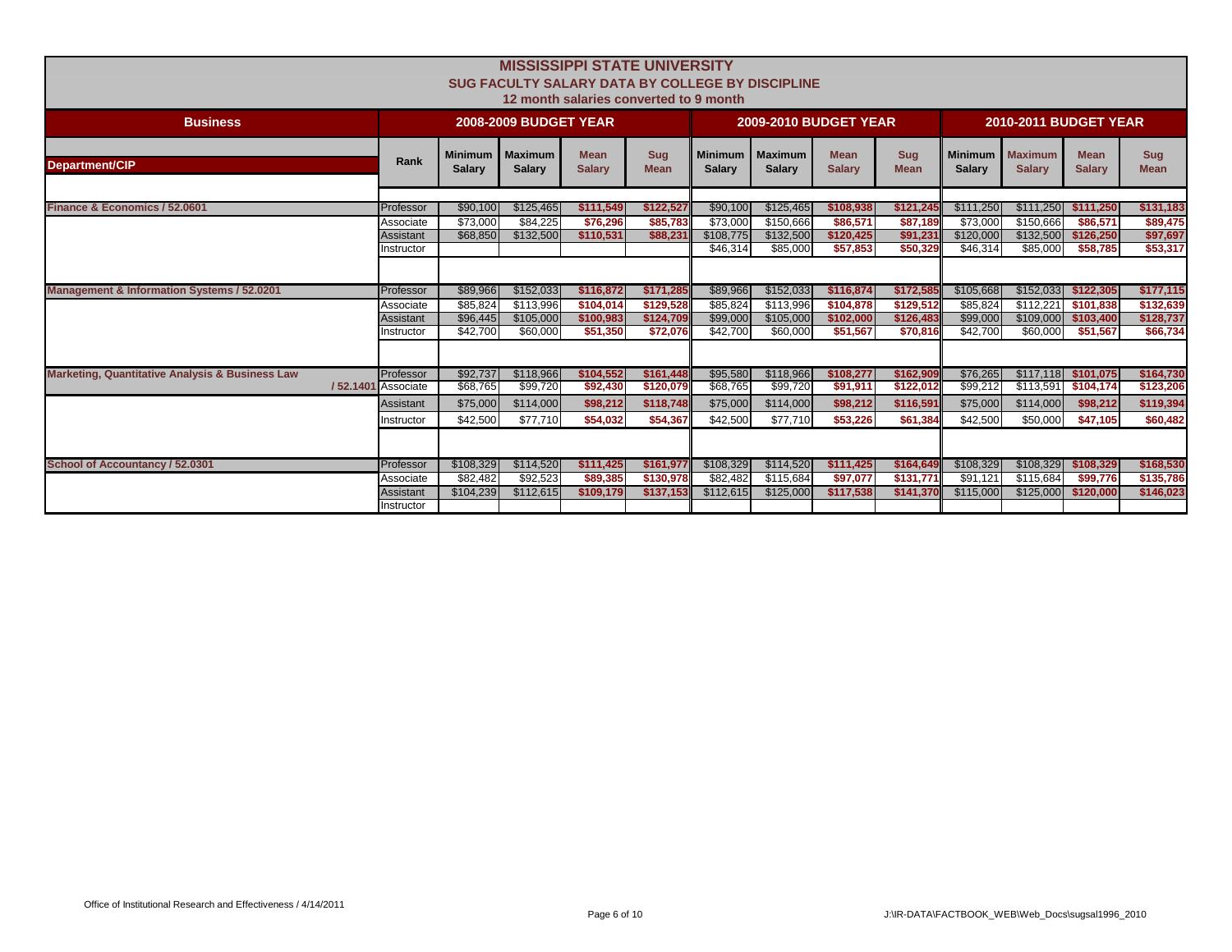|                                                            | <b>MISSISSIPPI STATE UNIVERSITY</b> |                |                              |                                        |                           |                |                                                         |               |             |                |                              |               |             |
|------------------------------------------------------------|-------------------------------------|----------------|------------------------------|----------------------------------------|---------------------------|----------------|---------------------------------------------------------|---------------|-------------|----------------|------------------------------|---------------|-------------|
|                                                            |                                     |                |                              |                                        |                           |                | <b>SUG FACULTY SALARY DATA BY COLLEGE BY DISCIPLINE</b> |               |             |                |                              |               |             |
|                                                            |                                     |                |                              |                                        |                           |                |                                                         |               |             |                |                              |               |             |
|                                                            |                                     |                |                              | 12 month salaries converted to 9 month |                           |                |                                                         |               |             |                |                              |               |             |
| <b>Business</b>                                            |                                     |                | <b>2008-2009 BUDGET YEAR</b> |                                        |                           |                | <b>2009-2010 BUDGET YEAR</b>                            |               |             |                | <b>2010-2011 BUDGET YEAR</b> |               |             |
|                                                            |                                     | <b>Minimum</b> | <b>Maximum</b>               | <b>Mean</b>                            |                           | <b>Minimum</b> | <b>Maximum</b>                                          | <b>Mean</b>   | <b>Sug</b>  | <b>Minimum</b> | <b>Maximum</b>               | <b>Mean</b>   | <b>Sug</b>  |
| Department/CIP                                             | Rank                                | <b>Salary</b>  | <b>Salary</b>                | <b>Salary</b>                          | <b>Sug</b><br><b>Mean</b> | <b>Salarv</b>  | <b>Salary</b>                                           | <b>Salary</b> | <b>Mean</b> | <b>Salary</b>  | <b>Salarv</b>                | <b>Salary</b> | <b>Mean</b> |
|                                                            |                                     |                |                              |                                        |                           |                |                                                         |               |             |                |                              |               |             |
|                                                            |                                     |                |                              |                                        |                           |                |                                                         |               |             |                |                              |               |             |
| Finance & Economics / 52.0601                              | Professor                           | \$90,100       | \$125.465                    | \$111.549                              | \$122,527                 | \$90,100       | \$125.465                                               | \$108,938     | \$121.245   | \$111.250      | \$111.250                    | \$111.250     | \$131,183   |
|                                                            | Associate                           | \$73.000       | \$84.225                     | \$76,296                               | \$85,783                  | \$73,000       | \$150,666                                               | \$86,571      | \$87,189    | \$73,000       | \$150,666                    | \$86,571      | \$89,475    |
|                                                            | Assistant                           | \$68,850       | \$132,500                    | \$110.531                              | \$88,231                  | \$108,775      | \$132,500                                               | \$120,425     | \$91,231    | \$120,000      | \$132,500                    | \$126,250     | \$97,697    |
|                                                            | Instructor                          |                |                              |                                        |                           | \$46,314       | \$85,000                                                | \$57,853      | \$50,329    | \$46,314       | \$85,000                     | \$58,785      | \$53,317    |
|                                                            |                                     |                |                              |                                        |                           |                |                                                         |               |             |                |                              |               |             |
| <b>Management &amp; Information Systems / 52.0201</b>      | Professor                           | \$89,966       | \$152,033                    | \$116,872                              | \$171,285                 | \$89,966       | \$152,033                                               | \$116,874     | \$172,585   | \$105,668      | \$152,033                    | \$122,305     | \$177,115   |
|                                                            | Associate                           | \$85,824       | \$113,996                    | \$104,014                              | \$129,528                 | \$85,824       | \$113,996                                               | \$104,878     | \$129,512   | \$85,824       | \$112,221                    | \$101,838     | \$132,639   |
|                                                            | Assistant                           | \$96,445       | \$105,000                    | \$100,983                              | \$124,709                 | \$99,000       | \$105,000                                               | \$102,000     | \$126,483   | \$99,000       | \$109,000                    | \$103,400     | \$128,737   |
|                                                            | Instructor                          | \$42.700       | \$60,000                     | \$51,350                               | \$72.076                  | \$42,700       | \$60,000                                                | \$51,567      | \$70,816    | \$42.700       | \$60,000                     | \$51,567      | \$66,734    |
|                                                            |                                     |                |                              |                                        |                           |                |                                                         |               |             |                |                              |               |             |
| <b>Marketing, Quantitative Analysis &amp; Business Law</b> | Professor                           | \$92,737       | \$118,966                    | \$104,552                              | \$161,448                 | \$95,580       | \$118,966                                               | \$108,277     | \$162,909   | \$76,265       | \$117,118                    | \$101,075     | \$164,730   |
|                                                            | /52.1401 Associate                  | \$68,765       | \$99,720                     | \$92,430                               | \$120,079                 | \$68,765       | \$99,720                                                | \$91,911      | \$122,012   | \$99,212       | \$113,591                    | \$104,174     | \$123,206   |
|                                                            | Assistant                           | \$75,000       | \$114,000                    | \$98,212                               | \$118,748                 | \$75,000       | \$114,000                                               | \$98,212      | \$116,591   | \$75,000       | \$114,000                    | \$98,212      | \$119,394   |
|                                                            | Instructor                          | \$42,500       | \$77,710                     | \$54,032                               | \$54,367                  | \$42,500       | \$77,710                                                | \$53,226      | \$61,384    | \$42,500       | \$50,000                     | \$47,105      | \$60,482    |
|                                                            |                                     |                |                              |                                        |                           |                |                                                         |               |             |                |                              |               |             |
|                                                            |                                     |                |                              |                                        |                           |                |                                                         |               |             |                |                              |               |             |
| School of Accountancy / 52.0301                            | Professor                           | \$108,329      | \$114,520                    | \$111,425                              | \$161,977                 | \$108,329      | \$114,520                                               | \$111,425     | \$164,649   | \$108,329      | \$108,329                    | \$108,329     | \$168,530   |
|                                                            | Associate                           | \$82,482       | \$92,523                     | \$89,385                               | \$130,978                 | \$82,482       | \$115,684                                               | \$97,077      | \$131,771   | \$91,121       | \$115,684                    | \$99,776      | \$135,786   |
|                                                            | Assistant                           | \$104,239      | \$112,615                    | \$109.179                              | \$137,153                 | \$112,615      | \$125,000                                               | \$117,538     | \$141,370   | \$115,000      | \$125,000                    | \$120,000     | \$146,023   |
|                                                            | Instructor                          |                |                              |                                        |                           |                |                                                         |               |             |                |                              |               |             |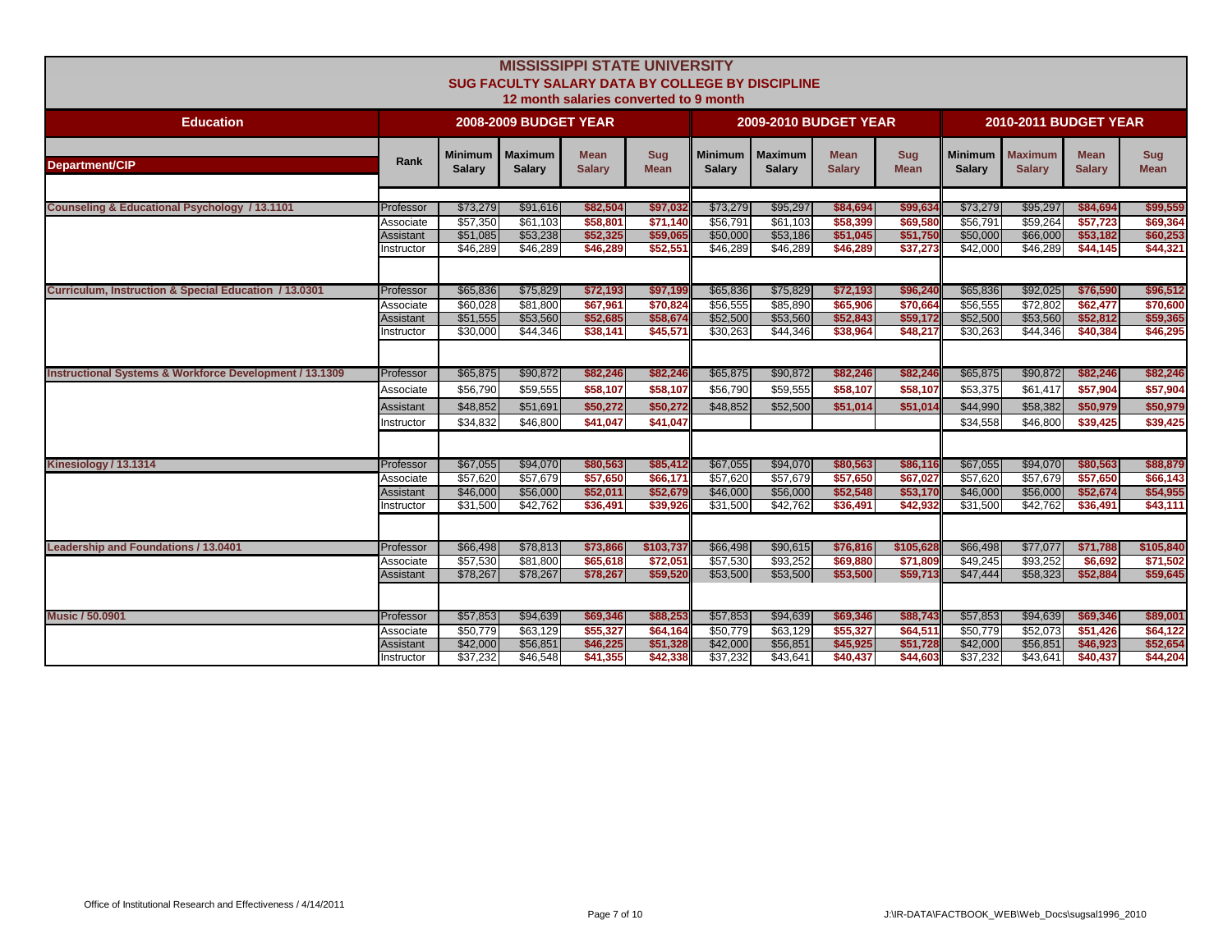|                                                                    | <b>MISSISSIPPI STATE UNIVERSITY</b><br>SUG FACULTY SALARY DATA BY COLLEGE BY DISCIPLINE<br>12 month salaries converted to 9 month |                                  |                                  |                                  |                                  |                                 |                                 |                              |                      |                                  |                                  |                                  |                                  |  |
|--------------------------------------------------------------------|-----------------------------------------------------------------------------------------------------------------------------------|----------------------------------|----------------------------------|----------------------------------|----------------------------------|---------------------------------|---------------------------------|------------------------------|----------------------|----------------------------------|----------------------------------|----------------------------------|----------------------------------|--|
| <b>Education</b>                                                   |                                                                                                                                   |                                  | <b>2008-2009 BUDGET YEAR</b>     |                                  |                                  |                                 | <b>2009-2010 BUDGET YEAR</b>    |                              |                      |                                  | <b>2010-2011 BUDGET YEAR</b>     |                                  |                                  |  |
| <b>Department/CIP</b>                                              | Rank                                                                                                                              | Minimum<br><b>Salary</b>         | <b>Maximum</b><br><b>Salary</b>  | <b>Mean</b><br><b>Salary</b>     | <b>Sug</b><br><b>Mean</b>        | <b>Minimum</b><br><b>Salary</b> | <b>Maximum</b><br><b>Salary</b> | <b>Mean</b><br><b>Salary</b> | Sug<br><b>Mean</b>   | Minimum<br><b>Salary</b>         | <b>Maximum</b><br><b>Salary</b>  | <b>Mean</b><br><b>Salary</b>     | <b>Sug</b><br><b>Mean</b>        |  |
| Counseling & Educational Psychology / 13.1101                      | Professor                                                                                                                         | \$73,279                         | \$91,616                         | \$82,504                         | \$97,032                         | \$73,279                        | \$95,297                        | \$84,694                     | \$99,634             | \$73,279                         | \$95,297                         | \$84,694                         | \$99,559                         |  |
|                                                                    | Associate                                                                                                                         | \$57,350                         | \$61.103                         | \$58,801                         | \$71.140                         | \$56.791                        | \$61.103                        | \$58,399                     | \$69,580             | \$56.791                         | \$59.264                         | \$57,723                         | \$69,364                         |  |
|                                                                    | Assistant                                                                                                                         | \$51,085                         | \$53,238                         | \$52,325                         | \$59,065                         | \$50,000                        | \$53,186                        | \$51,045                     | \$51,750             | \$50,000                         | \$66,000                         | \$53,182                         | \$60,253                         |  |
|                                                                    | nstructor                                                                                                                         | \$46,289                         | \$46,289                         | \$46,289                         | \$52,551                         | \$46,289                        | \$46,289                        | \$46,289                     | \$37,273             | \$42,000                         | \$46,289                         | \$44,145                         | \$44,321                         |  |
| Curriculum, Instruction & Special Education / 13.0301              | Professor                                                                                                                         | \$65,836                         | \$75,829                         | \$72,193                         | \$97,199                         | \$65,836                        | \$75,829                        | \$72,193                     | \$96,240             | \$65,836                         | \$92,025                         | \$76,590                         | \$96,512                         |  |
|                                                                    | Associate                                                                                                                         | \$60.028                         | \$81,800                         | \$67.961                         | \$70.824                         | \$56,555                        | \$85,890                        | \$65,906                     | \$70,664             | \$56,555                         | \$72,802                         | \$62,477                         | \$70,600                         |  |
|                                                                    | Assistant                                                                                                                         | \$51,555                         | \$53,560                         | \$52,685                         | \$58,674                         | \$52,500                        | \$53,560                        | \$52,843                     | \$59,172             | \$52,500                         | \$53,560                         | \$52,812                         | \$59,365                         |  |
|                                                                    | nstructor                                                                                                                         | \$30,000                         | \$44,346                         | \$38.141                         | \$45,571                         | \$30,263                        | \$44.346                        | \$38,964                     | \$48,217             | \$30.263                         | \$44,346                         | \$40,384                         | \$46,295                         |  |
| <b>Instructional Systems &amp; Workforce Development / 13.1309</b> | Professor                                                                                                                         | \$65,875                         | \$90,872                         | \$82,246                         | \$82,246                         | \$65,875<br>\$56,790            | \$90,872<br>\$59,555            | \$82,246                     | \$82,246             | \$65,875                         | \$90,872                         | \$82,246                         | \$82,246                         |  |
|                                                                    | Associate<br>Assistant<br>Instructor                                                                                              | \$56,790<br>\$48,852<br>\$34,832 | \$59,555<br>\$51,691<br>\$46,800 | \$58,107<br>\$50,272<br>\$41,047 | \$58,107<br>\$50,272<br>\$41,047 | \$48,852                        | \$52,500                        | \$58,107<br>\$51,014         | \$58,107<br>\$51,014 | \$53,375<br>\$44,990<br>\$34,558 | \$61,417<br>\$58,382<br>\$46,800 | \$57,904<br>\$50,979<br>\$39,425 | \$57,904<br>\$50,979<br>\$39,425 |  |
| Kinesiology / 13.1314                                              | Professor                                                                                                                         | \$67,055                         | \$94,070                         | \$80,563                         | \$85,412                         | \$67,055                        | \$94,070                        | \$80,563                     | \$86,116             | \$67,055                         | \$94,070                         | \$80,563                         | \$88,879                         |  |
|                                                                    | Associate                                                                                                                         | \$57,620                         | \$57,679                         | \$57,650                         | \$66,171                         | \$57,620                        | \$57,679                        | \$57,650                     | \$67,027             | \$57,620                         | \$57,679                         | \$57,650                         | \$66,143                         |  |
|                                                                    | Assistant                                                                                                                         | \$46,000                         | \$56,000                         | \$52,011                         | \$52,679                         | \$46,000                        | \$56,000                        | \$52,548                     | \$53,170             | \$46,000                         | \$56,000                         | \$52,674                         | \$54,955                         |  |
| Leadership and Foundations / 13.0401                               | Instructor                                                                                                                        | \$31,500                         | \$42,762                         | \$36,491                         | \$39,926                         | \$31,500                        | \$42,762                        | \$36,491                     | \$42,932             | \$31,500                         | \$42,762                         | \$36,491                         | \$43,111                         |  |
|                                                                    | Professor                                                                                                                         | \$66,498                         | \$78,813                         | \$73,866                         | \$103,737                        | \$66,498                        | \$90,615                        | \$76,816                     | \$105,628            | \$66,498                         | \$77,077                         | \$71,788                         | \$105,840                        |  |
|                                                                    | Associate                                                                                                                         | \$57,530                         | \$81,800                         | \$65,618                         | \$72,051                         | \$57,530                        | \$93,252                        | \$69,880                     | \$71,809             | \$49,245                         | \$93,252                         | \$6,692                          | \$71,502                         |  |
|                                                                    | Assistant                                                                                                                         | \$78,267                         | \$78,267                         | \$78,267                         | \$59,520                         | \$53,500                        | \$53,500                        | \$53,500                     | \$59,713             | \$47,444                         | \$58,323                         | \$52,884                         | \$59,645                         |  |
| <b>Music / 50,0901</b>                                             | Professor                                                                                                                         | \$57,853                         | \$94,639                         | \$69,346                         | \$88,253                         | \$57,853                        | \$94,639                        | \$69,346                     | \$88,743             | \$57,853                         | \$94,639                         | \$69,346                         | \$89,001                         |  |
|                                                                    | Associate                                                                                                                         | \$50,779                         | \$63,129                         | \$55,327                         | \$64,164                         | \$50,779                        | \$63,129                        | \$55,327                     | \$64,51'             | \$50,779                         | \$52,073                         | \$51,426                         | \$64,122                         |  |
|                                                                    | Assistant                                                                                                                         | \$42,000                         | \$56,851                         | \$46,225                         | \$51,328                         | \$42,000                        | \$56,851                        | \$45,925                     | \$51,728             | \$42,000                         | \$56,851                         | \$46,923                         | \$52,654                         |  |
|                                                                    | Instructor                                                                                                                        | \$37,232                         | \$46,548                         | \$41,355                         | \$42,338                         | \$37,232                        | \$43,641                        | \$40,437                     | \$44,603             | \$37,232                         | \$43,641                         | \$40,437                         | \$44,204                         |  |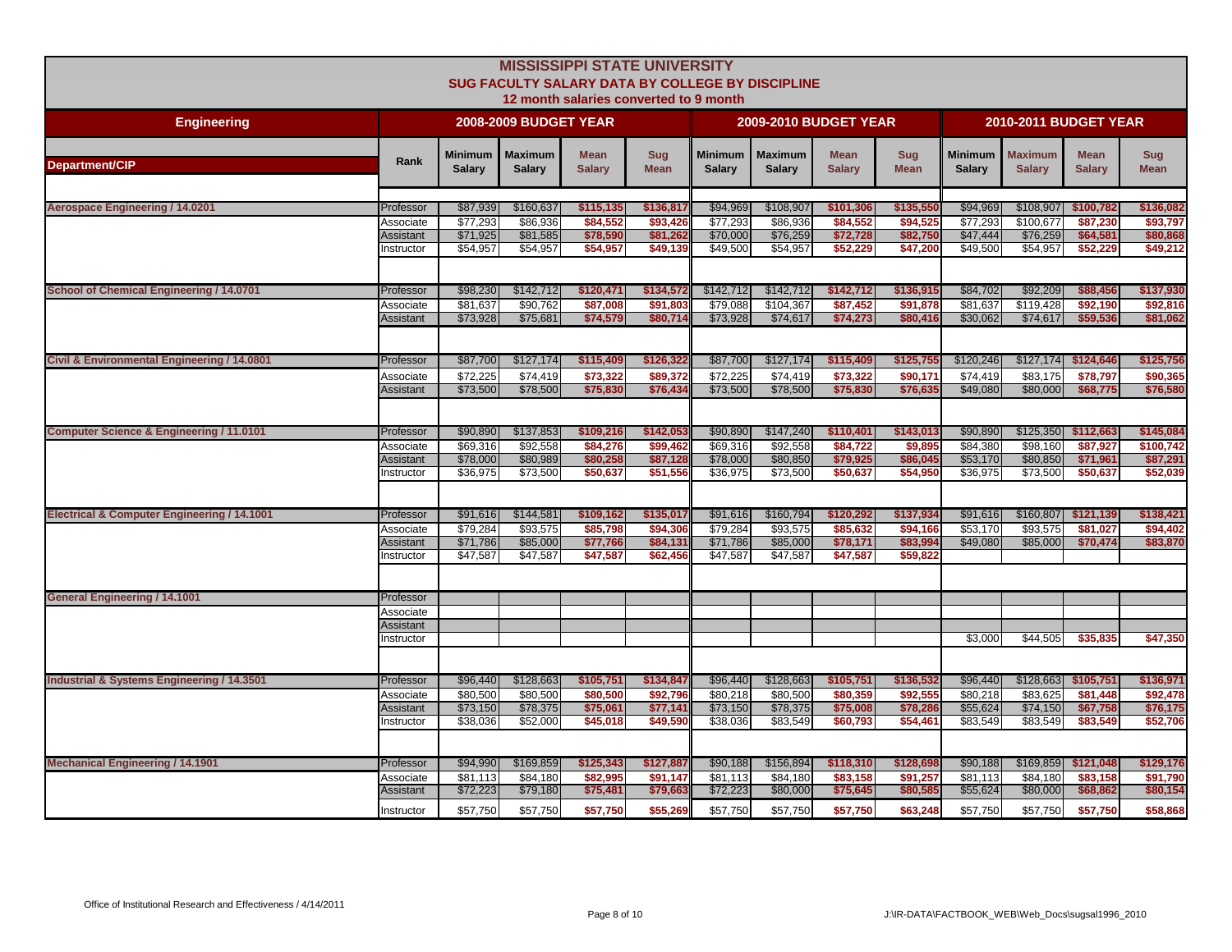|                                                       |                        |                          |                              | <b>MISSISSIPPI STATE UNIVERSITY</b>    |                           |                                 |                                                  |                              |                           |                                 |                              |                       |                           |
|-------------------------------------------------------|------------------------|--------------------------|------------------------------|----------------------------------------|---------------------------|---------------------------------|--------------------------------------------------|------------------------------|---------------------------|---------------------------------|------------------------------|-----------------------|---------------------------|
|                                                       |                        |                          |                              |                                        |                           |                                 | SUG FACULTY SALARY DATA BY COLLEGE BY DISCIPLINE |                              |                           |                                 |                              |                       |                           |
|                                                       |                        |                          |                              | 12 month salaries converted to 9 month |                           |                                 |                                                  |                              |                           |                                 |                              |                       |                           |
| <b>Engineering</b>                                    |                        |                          | <b>2008-2009 BUDGET YEAR</b> |                                        |                           |                                 | <b>2009-2010 BUDGET YEAR</b>                     |                              |                           |                                 | <b>2010-2011 BUDGET YEAR</b> |                       |                           |
|                                                       |                        |                          | Maximum                      | <b>Mean</b>                            |                           |                                 |                                                  |                              |                           |                                 |                              | <b>Mean</b>           |                           |
| <b>Department/CIP</b>                                 | Rank                   | Minimum<br><b>Salary</b> | <b>Salary</b>                | <b>Salary</b>                          | <b>Sug</b><br><b>Mean</b> | <b>Minimum</b><br><b>Salary</b> | <b>Maximum</b><br><b>Salary</b>                  | <b>Mean</b><br><b>Salary</b> | <b>Sug</b><br><b>Mean</b> | <b>Minimum</b><br><b>Salary</b> | Maximum<br><b>Salary</b>     | <b>Salary</b>         | <b>Sug</b><br><b>Mean</b> |
|                                                       |                        |                          |                              |                                        |                           |                                 |                                                  |                              |                           |                                 |                              |                       |                           |
| <b>Aerospace Engineering / 14.0201</b>                | Professor              | \$87,939                 | \$160,637                    | \$115,135                              | \$136,817                 | \$94,969                        | \$108,907                                        | \$101,306                    | \$135,550                 | \$94,969                        | \$108,907                    | \$100,782             | \$136,082                 |
|                                                       | Associate              | \$77,293                 | \$86,936                     | \$84,552                               | \$93,426                  | \$77,293                        | \$86,936                                         | \$84,552                     | \$94,525                  | \$77,293                        | \$100.677                    | \$87,230              | \$93,797                  |
|                                                       | Assistant              | \$71,925                 | \$81,585                     | \$78,590                               | \$81,262                  | \$70,000                        | \$76,259                                         | \$72,728                     | \$82,750                  | \$47,444                        | \$76,259                     | \$64,581              | \$80,868                  |
|                                                       | Instructor             | \$54,957                 | \$54,957                     | \$54,957                               | \$49,139                  | \$49,500                        | \$54,957                                         | \$52,229                     | \$47,200                  | \$49,500                        | \$54,957                     | \$52,229              | \$49,212                  |
|                                                       |                        |                          |                              |                                        |                           |                                 |                                                  |                              |                           |                                 |                              |                       |                           |
|                                                       |                        |                          |                              |                                        |                           |                                 |                                                  |                              |                           |                                 |                              |                       |                           |
| School of Chemical Engineering / 14.0701              | Professor<br>Associate | \$98,230<br>\$81.637     | \$142,712<br>\$90,762        | \$120,471<br>\$87,008                  | \$134,572<br>\$91,803     | \$142,712<br>\$79,088           | \$142,712<br>\$104.367                           | \$142,712<br>\$87,452        | \$136,915<br>\$91,878     | \$84,702<br>\$81,637            | \$92,209<br>\$119,428        | \$88,456<br>\$92.190  | \$137,930<br>\$92,816     |
|                                                       | Assistant              | \$73,928                 | \$75,681                     | \$74,579                               | \$80,714                  | \$73,928                        | \$74,617                                         | \$74,273                     | \$80,416                  | \$30,062                        | \$74,617                     | \$59,536              | \$81,062                  |
|                                                       |                        |                          |                              |                                        |                           |                                 |                                                  |                              |                           |                                 |                              |                       |                           |
|                                                       |                        |                          |                              |                                        |                           |                                 |                                                  |                              |                           |                                 |                              |                       |                           |
| Civil & Environmental Engineering / 14.0801           | Professor              | \$87,700                 | \$127,174                    | \$115,409                              | \$126,322                 | \$87,700                        | \$127,174                                        | \$115,409                    | \$125,75                  | \$120.246                       | \$127.174                    | \$124,646             | \$125,756                 |
|                                                       | Associate              | \$72,225                 | \$74.419                     | \$73.322                               | \$89,372                  | \$72.225                        | \$74.419                                         | \$73,322                     | \$90,171                  | \$74.419                        | \$83.175                     | \$78.797              | \$90,365                  |
|                                                       | Assistant              | \$73,500                 | \$78,500                     | \$75,830                               | \$76,434                  | \$73,500                        | \$78,500                                         | \$75,830                     | \$76,63                   | \$49,080                        | \$80,000                     | \$68,775              | \$76,580                  |
|                                                       |                        |                          |                              |                                        |                           |                                 |                                                  |                              |                           |                                 |                              |                       |                           |
|                                                       |                        |                          |                              |                                        |                           |                                 |                                                  |                              |                           |                                 |                              |                       |                           |
| Computer Science & Engineering / 11.0101              | Professor              | \$90,890                 | \$137,853                    | \$109,216                              | \$142,053                 | \$90,890                        | \$147,240                                        | \$110,401                    | \$143,013                 | \$90,890                        |                              | $$125,350$ $$112,663$ | \$145,084                 |
|                                                       | Associate              | \$69,316                 | \$92,558                     | \$84,276                               | \$99,462                  | \$69,316                        | \$92,558                                         | \$84,722                     | \$9,89                    | \$84,380                        | \$98,160                     | \$87,927              | \$100,742                 |
|                                                       | Assistant<br>nstructor | \$78,000<br>\$36,975     | \$80,989<br>\$73,500         | \$80,258<br>\$50,637                   | \$87,12<br>\$51,556       | \$78,000<br>\$36,975            | \$80,850<br>\$73,500                             | \$79,925<br>\$50,637         | \$86,045<br>\$54,950      | \$53,170<br>\$36,975            | \$80,850<br>\$73,500         | \$71,961<br>\$50,637  | \$87,291<br>\$52,039      |
|                                                       |                        |                          |                              |                                        |                           |                                 |                                                  |                              |                           |                                 |                              |                       |                           |
|                                                       |                        |                          |                              |                                        |                           |                                 |                                                  |                              |                           |                                 |                              |                       |                           |
| Electrical & Computer Engineering / 14.1001           | Professor              | \$91,616                 | \$144,581                    | \$109,162                              | \$135,017                 | \$91,616                        | \$160,794                                        | \$120,292                    | \$137,934                 | \$91,616                        | \$160,807                    | \$121,139             | \$138,421                 |
|                                                       | Associate              | \$79,284                 | \$93,575                     | \$85,798                               | \$94,306                  | \$79,284                        | \$93,575                                         | \$85,632                     | \$94,166                  | \$53,170                        | \$93,575                     | \$81,027              | \$94,402                  |
|                                                       | Assistant              | \$71,786                 | \$85,000                     | \$77,766                               | \$84,131                  | \$71,786                        | \$85,000                                         | \$78,171                     | \$83,994                  | \$49,080                        | \$85,000                     | \$70,474              | \$83,870                  |
|                                                       | Instructor             | \$47,587                 | \$47,587                     | \$47,587                               | \$62,456                  | \$47,587                        | \$47,587                                         | \$47,587                     | \$59,822                  |                                 |                              |                       |                           |
|                                                       |                        |                          |                              |                                        |                           |                                 |                                                  |                              |                           |                                 |                              |                       |                           |
| <b>General Engineering / 14.1001</b>                  | Professor              |                          |                              |                                        |                           |                                 |                                                  |                              |                           |                                 |                              |                       |                           |
|                                                       | Associate              |                          |                              |                                        |                           |                                 |                                                  |                              |                           |                                 |                              |                       |                           |
|                                                       | Assistant              |                          |                              |                                        |                           |                                 |                                                  |                              |                           |                                 |                              |                       |                           |
|                                                       | Instructor             |                          |                              |                                        |                           |                                 |                                                  |                              |                           | \$3,000                         | \$44,505                     | \$35,835              | \$47,350                  |
|                                                       |                        |                          |                              |                                        |                           |                                 |                                                  |                              |                           |                                 |                              |                       |                           |
| <b>Industrial &amp; Systems Engineering / 14.3501</b> | Professor              | \$96,440                 | \$128,663                    | \$105,751                              | \$134,847                 | \$96,440                        | \$128,663                                        | \$105,751                    | \$136,532                 | \$96,440                        | \$128,663                    | \$105,751             | \$136,971                 |
|                                                       | Associate              | \$80,500                 | \$80,500                     | \$80,500                               | \$92.796                  | \$80,218                        | \$80,500                                         | \$80,359                     | \$92,555                  | \$80,218                        | \$83.625                     | \$81.448              | \$92,478                  |
|                                                       | Assistant              | \$73,150                 | \$78,375                     | \$75,061                               | \$77,141                  | \$73,150                        | \$78,375                                         | \$75,008                     | \$78,286                  | \$55,624                        | \$74,150                     | \$67,758              | \$76,175                  |
|                                                       | Instructor             | \$38,036                 | \$52,000                     | \$45,018                               | \$49,590                  | \$38,036                        | \$83,549                                         | \$60,793                     | \$54,46                   | \$83,549                        | \$83,549                     | \$83,549              | \$52,706                  |
|                                                       |                        |                          |                              |                                        |                           |                                 |                                                  |                              |                           |                                 |                              |                       |                           |
|                                                       |                        |                          |                              |                                        |                           |                                 |                                                  |                              |                           |                                 |                              |                       |                           |
| <b>Mechanical Engineering / 14.1901</b>               | Professor              | \$94,990                 | \$169,859                    | \$125,343                              | \$127,887                 | \$90,188                        | \$156,894                                        | \$118,310                    | \$128,698                 | \$90,188                        | \$169,859                    | \$121,048             | \$129,176                 |
|                                                       | Associate              | \$81.113                 | \$84,180                     | \$82,995                               | \$91,147                  | \$81,113                        | \$84,180                                         | \$83,158                     | \$91,257                  | \$81,113                        | \$84,180                     | \$83,158              | \$91,790                  |
|                                                       | Assistant              | \$72,223                 | \$79,180                     | \$75,481                               | \$79,663                  | \$72,223                        | \$80,000                                         | \$75,645                     | \$80,58                   | \$55,624                        | \$80,000                     | \$68,862              | \$80,154                  |
|                                                       | Instructor             | \$57,750                 | \$57,750                     | \$57,750                               | \$55,269                  | \$57,750                        | \$57,750                                         | \$57,750                     | \$63,248                  | \$57,750                        | \$57,750                     | \$57,750              | \$58,868                  |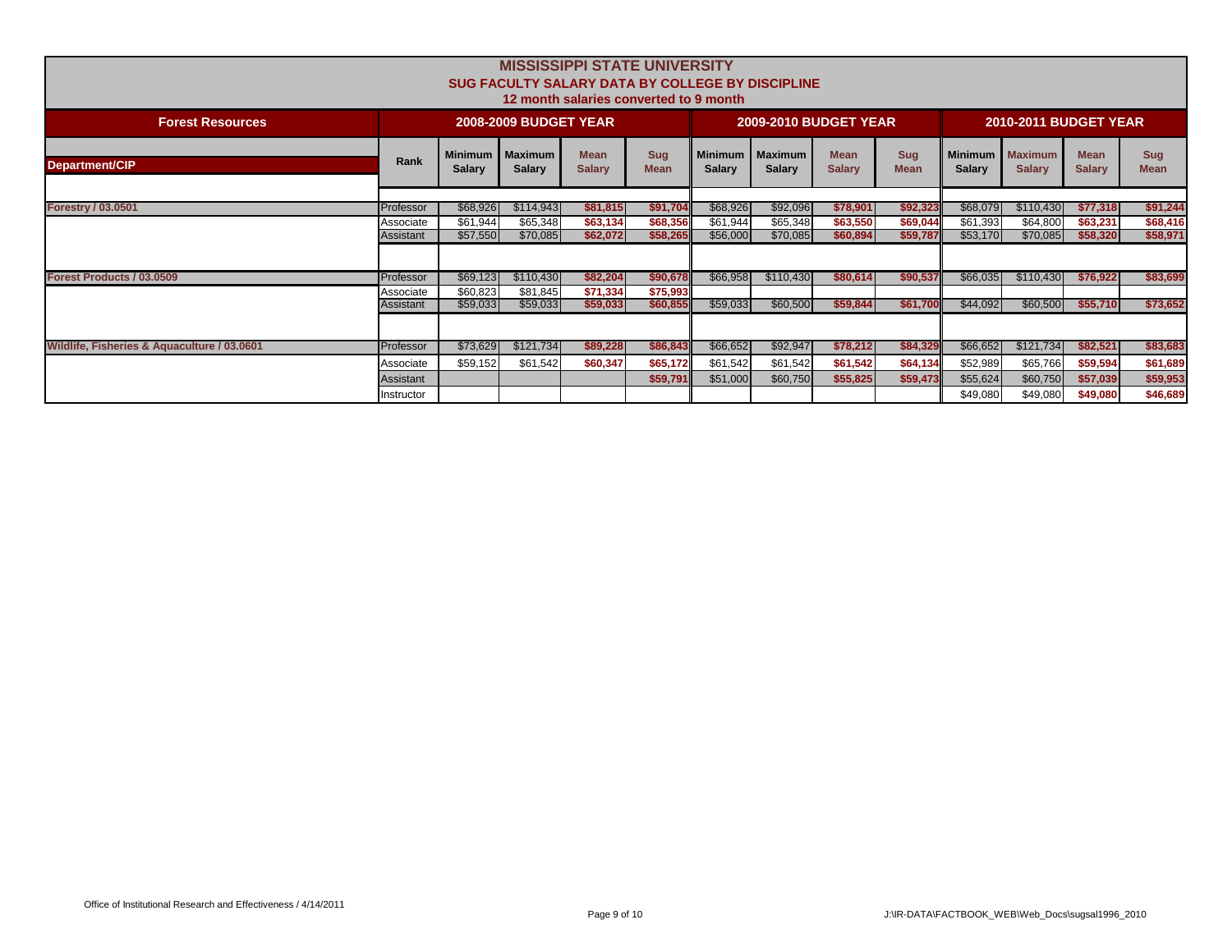| <b>MISSISSIPPI STATE UNIVERSITY</b><br><b>SUG FACULTY SALARY DATA BY COLLEGE BY DISCIPLINE</b><br>12 month salaries converted to 9 month |                        |                      |                                    |                              |                           |                                 |                                 |                              |                           |                      |                                    |                              |                           |
|------------------------------------------------------------------------------------------------------------------------------------------|------------------------|----------------------|------------------------------------|------------------------------|---------------------------|---------------------------------|---------------------------------|------------------------------|---------------------------|----------------------|------------------------------------|------------------------------|---------------------------|
| <b>Forest Resources</b>                                                                                                                  |                        |                      | <b>2008-2009 BUDGET YEAR</b>       |                              |                           |                                 | <b>2009-2010 BUDGET YEAR</b>    |                              |                           |                      | <b>2010-2011 BUDGET YEAR</b>       |                              |                           |
| <b>Department/CIP</b>                                                                                                                    | Rank                   | <b>Salary</b>        | Minimum   Maximum<br><b>Salary</b> | <b>Mean</b><br><b>Salary</b> | <b>Sug</b><br><b>Mean</b> | <b>Minimum</b><br><b>Salary</b> | <b>Maximum</b><br><b>Salary</b> | <b>Mean</b><br><b>Salary</b> | <b>Sug</b><br><b>Mean</b> | <b>Salary</b>        | Minimum   Maximum<br><b>Salary</b> | <b>Mean</b><br><b>Salary</b> | <b>Sug</b><br><b>Mean</b> |
|                                                                                                                                          |                        |                      |                                    |                              |                           |                                 |                                 |                              |                           |                      |                                    |                              |                           |
| <b>Forestry / 03.0501</b>                                                                                                                | Professor<br>Associate | \$68,926<br>\$61,944 | \$114,943<br>\$65,348              | \$81,815<br>\$63,134         | \$91,704<br>\$68,356      | \$68,926<br>\$61,944            | \$92,096<br>\$65,348            | \$78,901<br>\$63,550         | \$92,323<br>\$69,044      | \$68,079<br>\$61,393 | \$110,430<br>\$64,800              | \$77,318<br>\$63,231         | \$91,244<br>\$68,416      |
|                                                                                                                                          | Assistant              | \$57,550             | \$70,085                           | \$62,072                     | \$58,265                  | \$56,000                        | \$70,085                        | \$60,894                     | \$59,787                  | \$53,170             | \$70,085                           | \$58,320                     | \$58,971                  |
|                                                                                                                                          |                        |                      |                                    |                              |                           |                                 |                                 |                              |                           |                      |                                    |                              |                           |
| Forest Products / 03.0509                                                                                                                | Professor              | \$69,123             | \$110,430                          | \$82,204                     | \$90,678                  | \$66,958                        | \$110,430                       | \$80,614                     | \$90,537                  | \$66,035             | \$110,430                          | \$76,922                     | \$83,699                  |
|                                                                                                                                          | Associate              | \$60,823             | \$81,845                           | \$71,334                     | \$75,993                  |                                 |                                 |                              |                           |                      |                                    |                              |                           |
|                                                                                                                                          | Assistant              | \$59,033             | \$59,033                           | \$59,033                     | \$60,855                  | \$59,033                        | \$60,500                        | \$59,844                     | \$61,700                  | \$44,092             | \$60,500                           | \$55,710                     | \$73,652                  |
|                                                                                                                                          |                        |                      |                                    |                              |                           |                                 |                                 |                              |                           |                      |                                    |                              |                           |
| Wildlife, Fisheries & Aquaculture / 03.0601                                                                                              | Professor              | \$73,629             | \$121,734                          | \$89,228                     | \$86,843                  | \$66,652                        | \$92,947                        | \$78,212                     | \$84,329                  | \$66,652             | \$121,734                          | \$82,521                     | \$83,683                  |
|                                                                                                                                          | Associate              | \$59,152             | \$61,542                           | \$60,347                     | \$65,172                  | \$61,542                        | \$61,542                        | \$61,542                     | \$64,134                  | \$52,989             | \$65,766                           | \$59,594                     | \$61,689                  |
|                                                                                                                                          | Assistant              |                      |                                    |                              | \$59,791                  | \$51,000                        | \$60,750                        | \$55,825                     | \$59,473                  | \$55,624             | \$60,750                           | \$57,039                     | \$59,953                  |
|                                                                                                                                          | Instructor             |                      |                                    |                              |                           |                                 |                                 |                              |                           | \$49,080             | \$49,080                           | \$49,080                     | \$46,689                  |